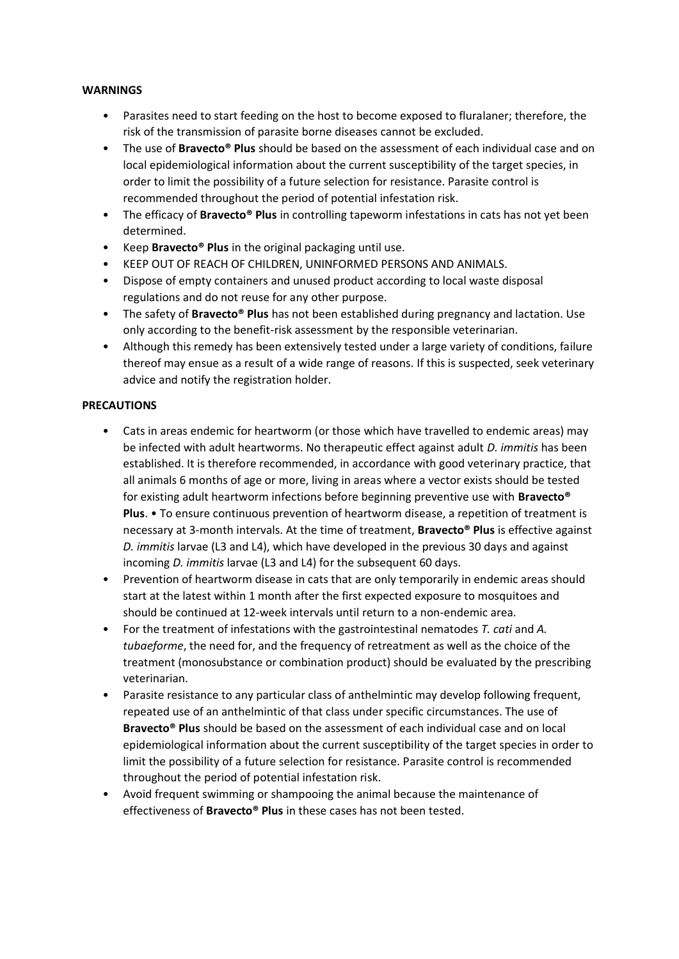## **WARNINGS**

- Parasites need to start feeding on the host to become exposed to fluralaner; therefore, the risk of the transmission of parasite borne diseases cannot be excluded.
- The use of **Bravecto® Plus** should be based on the assessment of each individual case and on local epidemiological information about the current susceptibility of the target species, in order to limit the possibility of a future selection for resistance. Parasite control is recommended throughout the period of potential infestation risk.
- The efficacy of **Bravecto® Plus** in controlling tapeworm infestations in cats has not yet been determined.
- Keep **Bravecto® Plus** in the original packaging until use.
- KEEP OUT OF REACH OF CHILDREN, UNINFORMED PERSONS AND ANIMALS.
- Dispose of empty containers and unused product according to local waste disposal regulations and do not reuse for any other purpose.
- The safety of **Bravecto® Plus** has not been established during pregnancy and lactation. Use only according to the benefit-risk assessment by the responsible veterinarian.
- Although this remedy has been extensively tested under a large variety of conditions, failure thereof may ensue as a result of a wide range of reasons. If this is suspected, seek veterinary advice and notify the registration holder.

## **PRECAUTIONS**

- Cats in areas endemic for heartworm (or those which have travelled to endemic areas) may be infected with adult heartworms. No therapeutic effect against adult *D. immitis* has been established. It is therefore recommended, in accordance with good veterinary practice, that all animals 6 months of age or more, living in areas where a vector exists should be tested for existing adult heartworm infections before beginning preventive use with **Bravecto® Plus**. • To ensure continuous prevention of heartworm disease, a repetition of treatment is necessary at 3-month intervals. At the time of treatment, **Bravecto® Plus** is effective against *D. immitis* larvae (L3 and L4), which have developed in the previous 30 days and against incoming *D. immitis* larvae (L3 and L4) for the subsequent 60 days.
- Prevention of heartworm disease in cats that are only temporarily in endemic areas should start at the latest within 1 month after the first expected exposure to mosquitoes and should be continued at 12-week intervals until return to a non-endemic area.
- For the treatment of infestations with the gastrointestinal nematodes *T. cati* and *A. tubaeforme*, the need for, and the frequency of retreatment as well as the choice of the treatment (monosubstance or combination product) should be evaluated by the prescribing veterinarian.
- Parasite resistance to any particular class of anthelmintic may develop following frequent, repeated use of an anthelmintic of that class under specific circumstances. The use of **Bravecto® Plus** should be based on the assessment of each individual case and on local epidemiological information about the current susceptibility of the target species in order to limit the possibility of a future selection for resistance. Parasite control is recommended throughout the period of potential infestation risk.
- Avoid frequent swimming or shampooing the animal because the maintenance of effectiveness of **Bravecto® Plus** in these cases has not been tested.